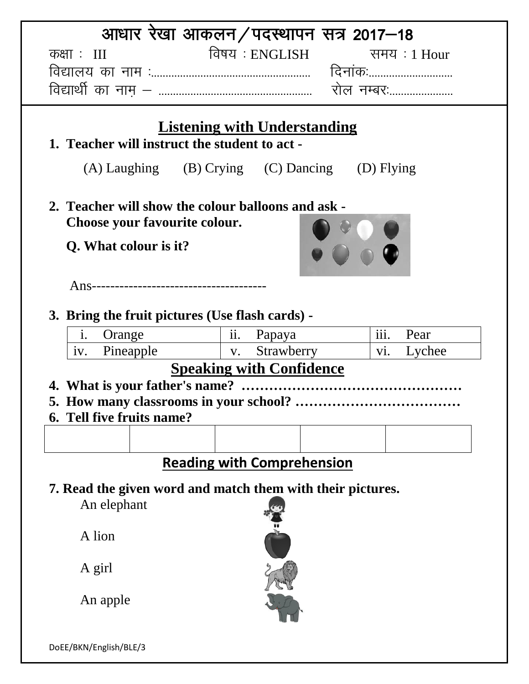|                                                            | आधार रेखा आकलन/पदस्थापन सत्र 2017–18           |               |  |  |  |  |  |
|------------------------------------------------------------|------------------------------------------------|---------------|--|--|--|--|--|
| कक्षाः $III$                                               | विषय : ENGLISH                                 | समय $:1$ Hour |  |  |  |  |  |
|                                                            |                                                |               |  |  |  |  |  |
|                                                            | रोल नम्बर:                                     |               |  |  |  |  |  |
|                                                            |                                                |               |  |  |  |  |  |
|                                                            | <b>Listening with Understanding</b>            |               |  |  |  |  |  |
|                                                            | 1. Teacher will instruct the student to act -  |               |  |  |  |  |  |
|                                                            | (A) Laughing (B) Crying (C) Dancing (D) Flying |               |  |  |  |  |  |
| 2. Teacher will show the colour balloons and ask -         |                                                |               |  |  |  |  |  |
| Choose your favourite colour.                              |                                                |               |  |  |  |  |  |
| Q. What colour is it?                                      |                                                |               |  |  |  |  |  |
|                                                            |                                                |               |  |  |  |  |  |
|                                                            |                                                |               |  |  |  |  |  |
|                                                            |                                                |               |  |  |  |  |  |
| 3. Bring the fruit pictures (Use flash cards) -            |                                                |               |  |  |  |  |  |
| Orange<br>$\mathbf{1}$ .                                   | $\frac{1}{\text{ii.}}$ Papaya                  | iii.<br>Pear  |  |  |  |  |  |
| Pineapple v. Strawberry<br>1V.                             |                                                | Lychee<br>Vi. |  |  |  |  |  |
| <b>Speaking with Confidence</b>                            |                                                |               |  |  |  |  |  |
|                                                            |                                                |               |  |  |  |  |  |
| 6. Tell five fruits name?                                  |                                                |               |  |  |  |  |  |
|                                                            |                                                |               |  |  |  |  |  |
|                                                            |                                                |               |  |  |  |  |  |
| <b>Reading with Comprehension</b>                          |                                                |               |  |  |  |  |  |
| 7. Read the given word and match them with their pictures. |                                                |               |  |  |  |  |  |
| An elephant                                                |                                                |               |  |  |  |  |  |
|                                                            |                                                |               |  |  |  |  |  |
| A lion                                                     |                                                |               |  |  |  |  |  |
|                                                            |                                                |               |  |  |  |  |  |
| A girl                                                     |                                                |               |  |  |  |  |  |
| An apple                                                   |                                                |               |  |  |  |  |  |
|                                                            |                                                |               |  |  |  |  |  |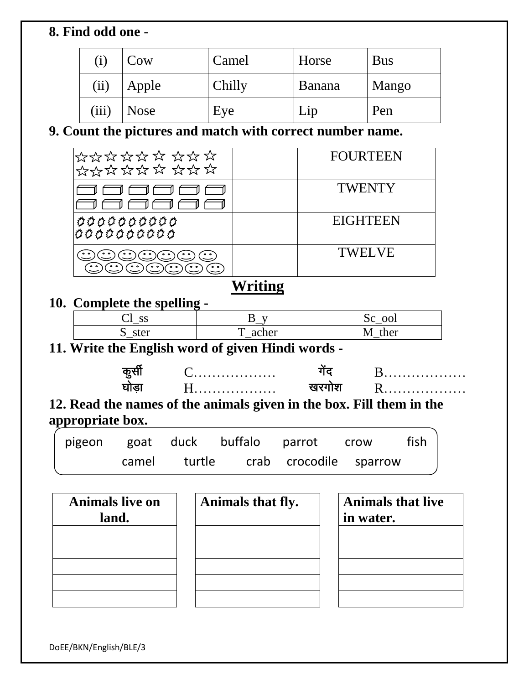#### **8. Find odd one -**

| $(\rm i)$ | Cow         | Camel  | Horse         | <b>Bus</b> |
|-----------|-------------|--------|---------------|------------|
| (ii)      | Apple       | Chilly | <b>Banana</b> | Mango      |
| (iii)     | <b>Nose</b> | Eye    | Lip           | Pen        |

## **9. Count the pictures and match with correct number name.**

| *********<br>**********   | <b>FOURTEEN</b> |
|---------------------------|-----------------|
|                           | <b>TWENTY</b>   |
| 0000000000<br> 0000000000 | <b>EIGHTEEN</b> |
| $^{\circ}$<br>$^{\circ}$  | <b>TWELVE</b>   |

# **Writing**

### **10. Complete the spelling -**

| C C<br>Ca IV<br>$-$ |       | ool<br>υU         |
|---------------------|-------|-------------------|
| ster<br>ມ           | acher | ther<br><b>NI</b> |

### **11. Write the English word of given Hindi words -**

|   | . |
|---|---|
| . | . |

**12. Read the names of the animals given in the box. Fill them in the appropriate box.**

|  |  | pigeon goat duck buffalo parrot crow fish |  |
|--|--|-------------------------------------------|--|
|  |  | camel turtle crab crocodile sparrow       |  |

| <b>Animals live on</b><br>land. | Animals that fly. | <b>Animals that live</b><br>in water. |
|---------------------------------|-------------------|---------------------------------------|
|                                 |                   |                                       |
|                                 |                   |                                       |
|                                 |                   |                                       |

DoEE/BKN/English/BLE/3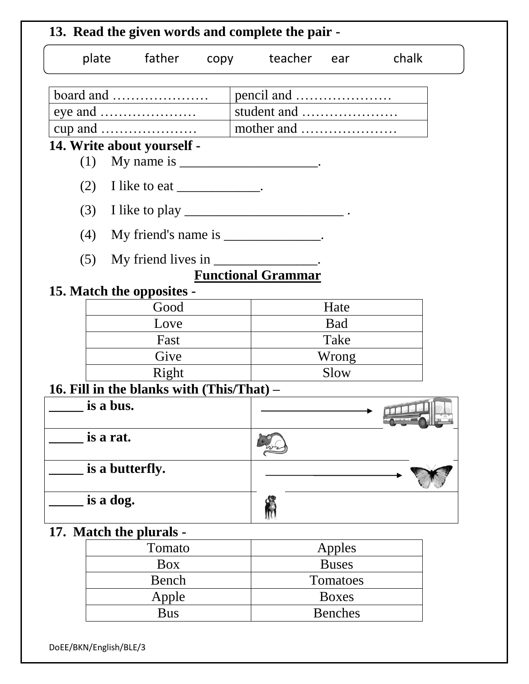| plate father copy teacher ear chalk                                                                                                                                                                                                                                                                                     |      |                           |                |                   |
|-------------------------------------------------------------------------------------------------------------------------------------------------------------------------------------------------------------------------------------------------------------------------------------------------------------------------|------|---------------------------|----------------|-------------------|
| board and                                                                                                                                                                                                                                                                                                               |      |                           |                |                   |
|                                                                                                                                                                                                                                                                                                                         |      | student and               |                |                   |
| cup and $\dots\dots\dots\dots\dots\dots\dots$                                                                                                                                                                                                                                                                           |      | mother and                |                |                   |
| 14. Write about yourself -                                                                                                                                                                                                                                                                                              |      |                           |                |                   |
| My name is $\frac{1}{2}$ $\frac{1}{2}$ $\frac{1}{2}$ $\frac{1}{2}$ $\frac{1}{2}$ $\frac{1}{2}$ $\frac{1}{2}$ $\frac{1}{2}$ $\frac{1}{2}$ $\frac{1}{2}$ $\frac{1}{2}$ $\frac{1}{2}$ $\frac{1}{2}$ $\frac{1}{2}$ $\frac{1}{2}$ $\frac{1}{2}$ $\frac{1}{2}$ $\frac{1}{2}$ $\frac{1}{2}$ $\frac{1}{2}$ $\frac{1}{2}$<br>(1) |      |                           |                |                   |
| (2)<br>I like to eat _____________.                                                                                                                                                                                                                                                                                     |      |                           |                |                   |
| (3)                                                                                                                                                                                                                                                                                                                     |      |                           |                |                   |
| My friend's name is _______________.<br>(4)                                                                                                                                                                                                                                                                             |      |                           |                |                   |
| My friend lives in ________________.<br>(5)                                                                                                                                                                                                                                                                             |      |                           |                |                   |
|                                                                                                                                                                                                                                                                                                                         |      | <b>Functional Grammar</b> |                |                   |
| 15. Match the opposites -                                                                                                                                                                                                                                                                                               |      |                           |                |                   |
| Good                                                                                                                                                                                                                                                                                                                    |      |                           | Hate           |                   |
| Love                                                                                                                                                                                                                                                                                                                    |      |                           | <b>Bad</b>     |                   |
| Fast                                                                                                                                                                                                                                                                                                                    |      |                           | Take           |                   |
|                                                                                                                                                                                                                                                                                                                         | Give |                           |                |                   |
| Right                                                                                                                                                                                                                                                                                                                   |      |                           | Slow           |                   |
| 16. Fill in the blanks with (This/That) –                                                                                                                                                                                                                                                                               |      |                           |                |                   |
| is a bus.                                                                                                                                                                                                                                                                                                               |      |                           |                | <b>ROTTLE LIN</b> |
| is a rat.                                                                                                                                                                                                                                                                                                               |      |                           |                |                   |
| is a butterfly.                                                                                                                                                                                                                                                                                                         |      |                           |                |                   |
| is a dog.                                                                                                                                                                                                                                                                                                               |      |                           |                |                   |
| 17. Match the plurals -                                                                                                                                                                                                                                                                                                 |      |                           |                |                   |
| Tomato                                                                                                                                                                                                                                                                                                                  |      |                           | Apples         |                   |
| <b>Box</b>                                                                                                                                                                                                                                                                                                              |      |                           | <b>Buses</b>   |                   |
| Bench                                                                                                                                                                                                                                                                                                                   |      |                           | Tomatoes       |                   |
| Apple                                                                                                                                                                                                                                                                                                                   |      |                           | <b>Boxes</b>   |                   |
| <b>Bus</b>                                                                                                                                                                                                                                                                                                              |      |                           | <b>Benches</b> |                   |